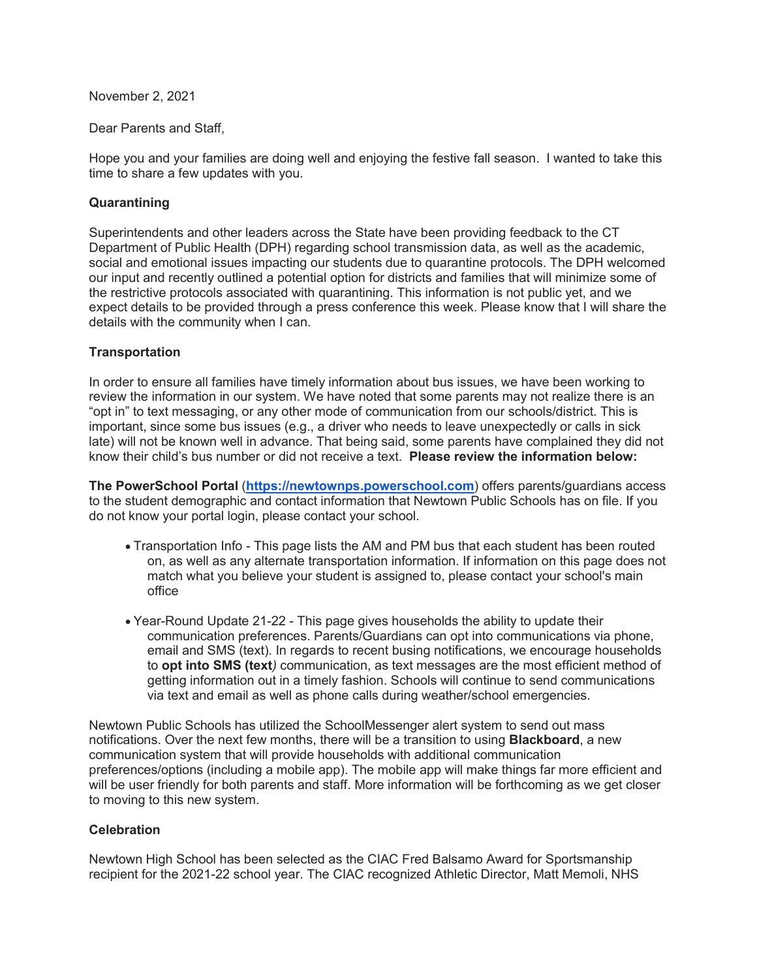November 2, 2021

Dear Parents and Staff,

Hope you and your families are doing well and enjoying the festive fall season. I wanted to take this time to share a few updates with you.

## **Quarantining**

Superintendents and other leaders across the State have been providing feedback to the CT Department of Public Health (DPH) regarding school transmission data, as well as the academic, social and emotional issues impacting our students due to quarantine protocols. The DPH welcomed our input and recently outlined a potential option for districts and families that will minimize some of the restrictive protocols associated with quarantining. This information is not public yet, and we expect details to be provided through a press conference this week. Please know that I will share the details with the community when I can.

## **Transportation**

In order to ensure all families have timely information about bus issues, we have been working to review the information in our system. We have noted that some parents may not realize there is an "opt in" to text messaging, or any other mode of communication from our schools/district. This is important, since some bus issues (e.g., a driver who needs to leave unexpectedly or calls in sick late) will not be known well in advance. That being said, some parents have complained they did not know their child's bus number or did not receive a text. **Please review the information below:**

**The PowerSchool Portal** (**[https://newtownps.powerschool.com](http://track.spe.schoolmessenger.com/f/a/6tg6ciSVMvmA3LUieKr83w%7E%7E/AAAAAQA%7E/RgRjYtS-P0TLaHR0cDovL3RyYWNrLnNwZS5zY2hvb2xtZXNzZW5nZXIuY29tL2YvYS9lckcyZmJvYzd2VUlWRHc1dzZKMV9Bfn4vQUFBQUFRQX4vUmdSall0SDVQMFFpYUhSMGNITTZMeTl1WlhkMGIzZHVjSE11Y0c5M1pYSnpZMmh2YjJ3dVkyOXRMMWNIYzJOb2IyOXNiVUlLWVlGNW5vRmhVS21QNFZJWGFuVnVaV3RBYm1WM2RHOTNiaTVyTVRJdVkzUXVkWE5ZQkFBQUFBRX5XB3NjaG9vbG1CCmGBPqGBYVmveUBSGW1vcnJpc2pAbmV3dG93bi5rMTIuY3QudXNYBAAAAAE%7E)**) offers parents/guardians access to the student demographic and contact information that Newtown Public Schools has on file. If you do not know your portal login, please contact your school.

- Transportation Info This page lists the AM and PM bus that each student has been routed on, as well as any alternate transportation information. If information on this page does not match what you believe your student is assigned to, please contact your school's main office
- Year-Round Update 21-22 This page gives households the ability to update their communication preferences. Parents/Guardians can opt into communications via phone, email and SMS (text). In regards to recent busing notifications, we encourage households to **opt into SMS (text***)* communication, as text messages are the most efficient method of getting information out in a timely fashion. Schools will continue to send communications via text and email as well as phone calls during weather/school emergencies.

Newtown Public Schools has utilized the SchoolMessenger alert system to send out mass notifications. Over the next few months, there will be a transition to using **Blackboard**, a new communication system that will provide households with additional communication preferences/options (including a mobile app). The mobile app will make things far more efficient and will be user friendly for both parents and staff. More information will be forthcoming as we get closer to moving to this new system.

## **Celebration**

Newtown High School has been selected as the CIAC Fred Balsamo Award for Sportsmanship recipient for the 2021-22 school year. The CIAC recognized Athletic Director, Matt Memoli, NHS